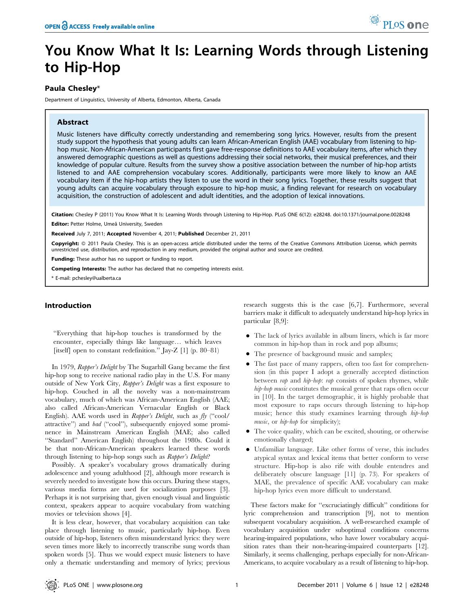# You Know What It Is: Learning Words through Listening to Hip-Hop

## Paula Chesley\*

Department of Linguistics, University of Alberta, Edmonton, Alberta, Canada

## Abstract

Music listeners have difficulty correctly understanding and remembering song lyrics. However, results from the present study support the hypothesis that young adults can learn African-American English (AAE) vocabulary from listening to hiphop music. Non-African-American participants first gave free-response definitions to AAE vocabulary items, after which they answered demographic questions as well as questions addressing their social networks, their musical preferences, and their knowledge of popular culture. Results from the survey show a positive association between the number of hip-hop artists listened to and AAE comprehension vocabulary scores. Additionally, participants were more likely to know an AAE vocabulary item if the hip-hop artists they listen to use the word in their song lyrics. Together, these results suggest that young adults can acquire vocabulary through exposure to hip-hop music, a finding relevant for research on vocabulary acquisition, the construction of adolescent and adult identities, and the adoption of lexical innovations.

Citation: Chesley P (2011) You Know What It Is: Learning Words through Listening to Hip-Hop. PLoS ONE 6(12): e28248. doi:10.1371/journal.pone.0028248 Editor: Petter Holme, Umeå University, Sweden

Received July 7, 2011; Accepted November 4, 2011; Published December 21, 2011

**Copyright:** © 2011 Paula Chesley. This is an open-access article distributed under the terms of the Creative Commons Attribution License, which permits unrestricted use, distribution, and reproduction in any medium, provided the original author and source are credited.

**Funding:** These author has no support or funding to report.

Competing Interests: The author has declared that no competing interests exist.

\* E-mail: pchesley@ualberta.ca

## Introduction

''Everything that hip-hop touches is transformed by the encounter, especially things like language… which leaves [itself] open to constant redefinition.'' Jay-Z [1] (p. 80–81)

In 1979, Rapper's Delight by The Sugarhill Gang became the first hip-hop song to receive national radio play in the U.S. For many outside of New York City, Rapper's Delight was a first exposure to hip-hop. Couched in all the novelty was a non-mainstream vocabulary, much of which was African-American English (AAE; also called African-American Vernacular English or Black English). AAE words used in Rapper's Delight, such as fly ("cool/ attractive'') and bad (''cool''), subsequently enjoyed some prominence in Mainstream American English (MAE; also called ''Standard'' American English) throughout the 1980s. Could it be that non-African-American speakers learned these words through listening to hip-hop songs such as Rapper's Delight?

Possibly. A speaker's vocabulary grows dramatically during adolescence and young adulthood [2], although more research is severely needed to investigate how this occurs. During these stages, various media forms are used for socialization purposes [3]. Perhaps it is not surprising that, given enough visual and linguistic context, speakers appear to acquire vocabulary from watching movies or television shows [4].

It is less clear, however, that vocabulary acquisition can take place through listening to music, particularly hip-hop. Even outside of hip-hop, listeners often misunderstand lyrics: they were seven times more likely to incorrectly transcribe sung words than spoken words [5]. Thus we would expect music listeners to have only a thematic understanding and memory of lyrics; previous

research suggests this is the case [6,7]. Furthermore, several barriers make it difficult to adequately understand hip-hop lyrics in particular [8,9]:

- The lack of lyrics available in album liners, which is far more common in hip-hop than in rock and pop albums;
- The presence of background music and samples;
- The fast pace of many rappers, often too fast for comprehension (in this paper I adopt a generally accepted distinction between rap and hip-hop: rap consists of spoken rhymes, while hip-hop music constitutes the musical genre that raps often occur in [10]. In the target demographic, it is highly probable that most exposure to raps occurs through listening to hip-hop music; hence this study examines learning through hip-hop music, or hip-hop for simplicity);
- The voice quality, which can be excited, shouting, or otherwise emotionally charged;
- N Unfamiliar language. Like other forms of verse, this includes atypical syntax and lexical items that better conform to verse structure. Hip-hop is also rife with double entendres and deliberately obscure language [11] (p. 73). For speakers of MAE, the prevalence of specific AAE vocabulary can make hip-hop lyrics even more difficult to understand.

These factors make for ''excruciatingly difficult'' conditions for lyric comprehension and transcription [9], not to mention subsequent vocabulary acquisition. A well-researched example of vocabulary acquisition under suboptimal conditions concerns hearing-impaired populations, who have lower vocabulary acquisition rates than their non-hearing-impaired counterparts [12]. Similarly, it seems challenging, perhaps especially for non-African-Americans, to acquire vocabulary as a result of listening to hip-hop.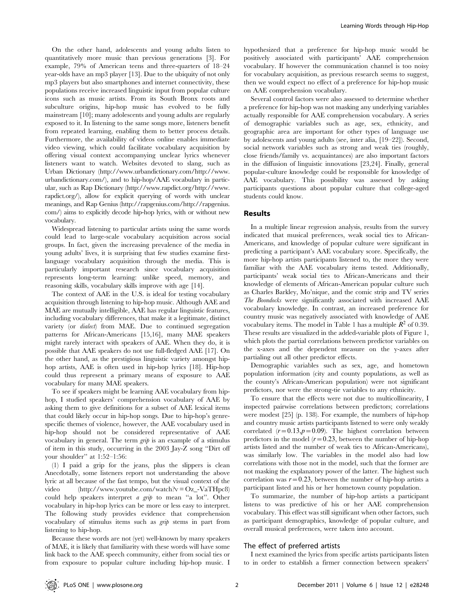On the other hand, adolescents and young adults listen to quantitatively more music than previous generations [3]. For example, 79% of American teens and three-quarters of 18–24 year-olds have an mp3 player [13]. Due to the ubiquity of not only mp3 players but also smartphones and internet connectivity, these populations receive increased linguistic input from popular culture icons such as music artists. From its South Bronx roots and subculture origins, hip-hop music has evolved to be fully mainstream [10]; many adolescents and young adults are regularly exposed to it. In listening to the same songs more, listeners benefit from repeated learning, enabling them to better process details. Furthermore, the availability of videos online enables immediate video viewing, which could facilitate vocabulary acquisition by offering visual context accompanying unclear lyrics whenever listeners want to watch. Websites devoted to slang, such as Urban Dictionary (http://www.urbandictionary.com/http://www. urbandictionary.com/), and to hip-hop/AAE vocabulary in particular, such as Rap Dictionary (http://www.rapdict.org/http://www. rapdict.org/), allow for explicit querying of words with unclear meanings, and Rap Genius (http://rapgenius.com/http://rapgenius. com/) aims to explicitly decode hip-hop lyrics, with or without new vocabulary.

Widespread listening to particular artists using the same words could lead to large-scale vocabulary acquisition across social groups. In fact, given the increasing prevalence of the media in young adults' lives, it is surprising that few studies examine firstlanguage vocabulary acquisition through the media. This is particularly important research since vocabulary acquisition represents long-term learning: unlike speed, memory, and reasoning skills, vocabulary skills improve with age [14].

The context of AAE in the U.S. is ideal for testing vocabulary acquisition through listening to hip-hop music. Although AAE and MAE are mutually intelligible, AAE has regular linguistic features, including vocabulary differences, that make it a legitimate, distinct variety (or *dialect*) from MAE. Due to continued segregation patterns for African-Americans [15,16], many MAE speakers might rarely interact with speakers of AAE. When they do, it is possible that AAE speakers do not use full-fledged AAE [17]. On the other hand, as the prestigious linguistic variety amongst hiphop artists, AAE is often used in hip-hop lyrics [18]. Hip-hop could thus represent a primary means of exposure to AAE vocabulary for many MAE speakers.

To see if speakers might be learning AAE vocabulary from hiphop, I studied speakers' comprehension vocabulary of AAE by asking them to give definitions for a subset of AAE lexical items that could likely occur in hip-hop songs. Due to hip-hop's genrespecific themes of violence, however, the AAE vocabulary used in hip-hop should not be considered representative of AAE vocabulary in general. The term  $\varphi$  is an example of a stimulus of item in this study, occurring in the 2003 Jay-Z song ''Dirt off your shoulder'' at 1:52–1:56:

(1) I paid a grip for the jeans, plus the slippers is clean Anecdotally, some listeners report not understanding the above lyric at all because of the fast tempo, but the visual context of the video (http://www.youtube.com/watch?v = Oz\_-VaTHpc8) could help speakers interpret a grip to mean "a lot". Other vocabulary in hip-hop lyrics can be more or less easy to interpret. The following study provides evidence that comprehension vocabulary of stimulus items such as  $g\eta p$  stems in part from listening to hip-hop.

Because these words are not (yet) well-known by many speakers of MAE, it is likely that familiarity with these words will have some link back to the AAE speech community, either from social ties or from exposure to popular culture including hip-hop music. I

hypothesized that a preference for hip-hop music would be positively associated with participants' AAE comprehension vocabulary. If however the communication channel is too noisy for vocabulary acquisition, as previous research seems to suggest, then we would expect no effect of a preference for hip-hop music on AAE comprehension vocabulary.

Several control factors were also assessed to determine whether a preference for hip-hop was not masking any underlying variables actually responsible for AAE comprehension vocabulary. A series of demographic variables such as age, sex, ethnicity, and geographic area are important for other types of language use by adolescents and young adults (see, inter alia, [19–22]). Second, social network variables such as strong and weak ties (roughly, close friends/family vs. acquaintances) are also important factors in the diffusion of linguistic innovations [23,24]. Finally, general popular-culture knowledge could be responsible for knowledge of AAE vocabulary. This possibility was assessed by asking participants questions about popular culture that college-aged students could know.

## Results

In a multiple linear regression analysis, results from the survey indicated that musical preferences, weak social ties to African-Americans, and knowledge of popular culture were significant in predicting a participant's AAE vocabulary score. Specifically, the more hip-hop artists participants listened to, the more they were familiar with the AAE vocabulary items tested. Additionally, participants' weak social ties to African-Americans and their knowledge of elements of African-American popular culture such as Charles Barkley, Mo'nique, and the comic strip and TV series The Boondocks were significantly associated with increased AAE vocabulary knowledge. In contrast, an increased preference for country music was negatively associated with knowledge of AAE vocabulary items. The model in Table 1 has a multiple  $R^2$  of 0.39. These results are visualized in the added-variable plots of Figure 1, which plots the partial correlations between predictor variables on the x-axes and the dependent measure on the y-axes after partialing out all other predictor effects.

Demographic variables such as sex, age, and hometown population information (city and county populations, as well as the county's African-American population) were not significant predictors, nor were the strong-tie variables to any ethnicity.

To ensure that the effects were not due to multicollinearity, I inspected pairwise correlations between predictors; correlations were modest [25] (p. 138). For example, the numbers of hip-hop and country music artists participants listened to were only weakly correlated  $(r=0.13, p=0.09)$ . The highest correlation between predictors in the model  $(r=0.23)$ , between the number of hip-hop artists listed and the number of weak ties to African-Americans), was similarly low. The variables in the model also had low correlations with those not in the model, such that the former are not masking the explanatory power of the latter. The highest such correlation was  $r=0.23$ , between the number of hip-hop artists a participant listed and his or her hometown county population.

To summarize, the number of hip-hop artists a participant listens to was predictive of his or her AAE comprehension vocabulary. This effect was still significant when other factors, such as participant demographics, knowledge of popular culture, and overall musical preferences, were taken into account.

#### The effect of preferred artists

I next examined the lyrics from specific artists participants listen to in order to establish a firmer connection between speakers'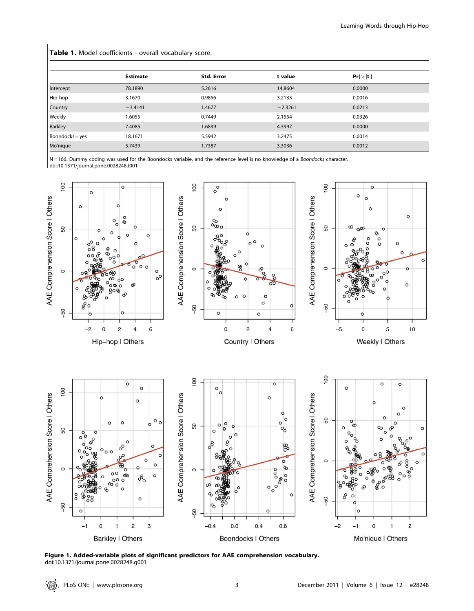Table 1. Model coefficients - overall vocabulary score.

|                 | <b>Estimate</b> | <b>Std. Error</b> | t value   | Pr(> t ) |
|-----------------|-----------------|-------------------|-----------|----------|
| Intercept       | 78.1890         | 5.2616            | 14.8604   | 0.0000   |
| Hip-hop         | 3.1670          | 0.9856            | 3.2133    | 0.0016   |
| Country         | $-3.4141$       | 1.4677            | $-2.3261$ | 0.0213   |
| Weekly          | 1.6055          | 0.7449            | 2.1554    | 0.0326   |
| Barkley         | 7.4085          | 1.6839            | 4.3997    | 0.0000   |
| Boondocks = yes | 18.1671         | 5.5942            | 3.2475    | 0.0014   |
| Mo'nique        | 5.7439          | 1.7387            | 3.3036    | 0.0012   |

N = 166. Dummy coding was used for the Boondocks variable, and the reference level is no knowledge of a Boondocks character. doi:10.1371/journal.pone.0028248.t001



Figure 1. Added-variable plots of significant predictors for AAE comprehension vocabulary. doi:10.1371/journal.pone.0028248.g001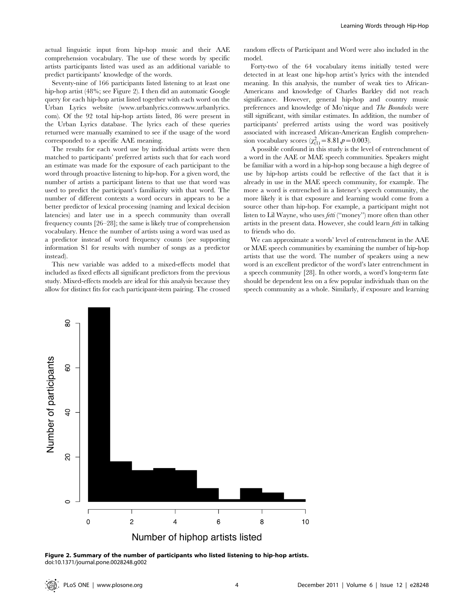actual linguistic input from hip-hop music and their AAE comprehension vocabulary. The use of these words by specific artists participants listed was used as an additional variable to predict participants' knowledge of the words.

Seventy-nine of 166 participants listed listening to at least one hip-hop artist (48%; see Figure 2). I then did an automatic Google query for each hip-hop artist listed together with each word on the Urban Lyrics website (www.urbanlyrics.comwww.urbanlyrics. com). Of the 92 total hip-hop artists listed, 86 were present in the Urban Lyrics database. The lyrics each of these queries returned were manually examined to see if the usage of the word corresponded to a specific AAE meaning.

The results for each word use by individual artists were then matched to participants' preferred artists such that for each word an estimate was made for the exposure of each participant to the word through proactive listening to hip-hop. For a given word, the number of artists a participant listens to that use that word was used to predict the participant's familiarity with that word. The number of different contexts a word occurs in appears to be a better predictor of lexical processing (naming and lexical decision latencies) and later use in a speech community than overall frequency counts [26–28]; the same is likely true of comprehension vocabulary. Hence the number of artists using a word was used as a predictor instead of word frequency counts (see supporting information S1 for results with number of songs as a predictor instead).

This new variable was added to a mixed-effects model that included as fixed effects all significant predictors from the previous study. Mixed-effects models are ideal for this analysis because they allow for distinct fits for each participant-item pairing. The crossed random effects of Participant and Word were also included in the model.

Forty-two of the 64 vocabulary items initially tested were detected in at least one hip-hop artist's lyrics with the intended meaning. In this analysis, the number of weak ties to African-Americans and knowledge of Charles Barkley did not reach significance. However, general hip-hop and country music preferences and knowledge of Mo'nique and The Boondocks were still significant, with similar estimates. In addition, the number of participants' preferred artists using the word was positively associated with increased African-American English comprehension vocabulary scores  $(\chi^2_{(1)} = 8.81, p = 0.003)$ .

A possible confound in this study is the level of entrenchment of a word in the AAE or MAE speech communities. Speakers might be familiar with a word in a hip-hop song because a high degree of use by hip-hop artists could be reflective of the fact that it is already in use in the MAE speech community, for example. The more a word is entrenched in a listener's speech community, the more likely it is that exposure and learning would come from a source other than hip-hop. For example, a participant might not listen to Lil Wayne, who uses fetti (''money'') more often than other artists in the present data. However, she could learn fetti in talking to friends who do.

We can approximate a words' level of entrenchment in the AAE or MAE speech communities by examining the number of hip-hop artists that use the word. The number of speakers using a new word is an excellent predictor of the word's later entrenchment in a speech community [28]. In other words, a word's long-term fate should be dependent less on a few popular individuals than on the speech community as a whole. Similarly, if exposure and learning



Figure 2. Summary of the number of participants who listed listening to hip-hop artists. doi:10.1371/journal.pone.0028248.g002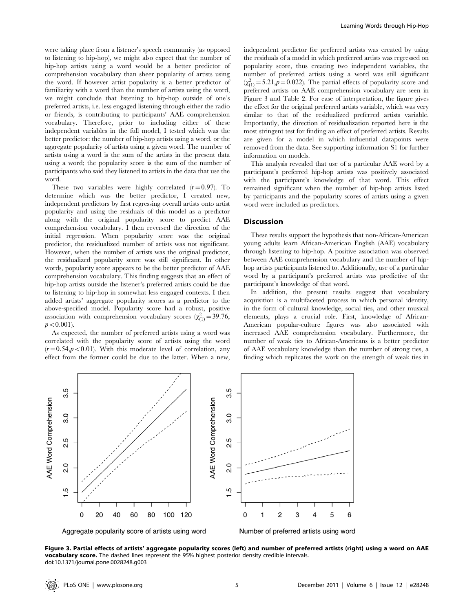were taking place from a listener's speech community (as opposed to listening to hip-hop), we might also expect that the number of hip-hop artists using a word would be a better predictor of comprehension vocabulary than sheer popularity of artists using the word. If however artist popularity is a better predictor of familiarity with a word than the number of artists using the word, we might conclude that listening to hip-hop outside of one's preferred artists, i.e. less engaged listening through either the radio or friends, is contributing to participants' AAE comprehension vocabulary. Therefore, prior to including either of these independent variables in the full model, I tested which was the better predictor: the number of hip-hop artists using a word, or the aggregate popularity of artists using a given word. The number of artists using a word is the sum of the artists in the present data using a word; the popularity score is the sum of the number of participants who said they listened to artists in the data that use the word.

These two variables were highly correlated  $(r=0.97)$ . To determine which was the better predictor, I created new, independent predictors by first regressing overall artists onto artist popularity and using the residuals of this model as a predictor along with the original popularity score to predict AAE comprehension vocabulary. I then reversed the direction of the initial regression. When popularity score was the original predictor, the residualized number of artists was not significant. However, when the number of artists was the original predictor, the residualized popularity score was still significant. In other words, popularity score appears to be the better predictor of AAE comprehension vocabulary. This finding suggests that an effect of hip-hop artists outside the listener's preferred artists could be due to listening to hip-hop in somewhat less engaged contexts. I then added artists' aggregate popularity scores as a predictor to the above-specified model. Popularity score had a robust, positive association with comprehension vocabulary scores  $(\chi^2_{(1)} = 39.76,$  $p < 0.001$ ).

As expected, the number of preferred artists using a word was correlated with the popularity score of artists using the word  $(r=0.54, p<0.01)$ . With this moderate level of correlation, any effect from the former could be due to the latter. When a new, independent predictor for preferred artists was created by using the residuals of a model in which preferred artists was regressed on popularity score, thus creating two independent variables, the number of preferred artists using a word was still significant  $(\chi^2_{(1)} = 5.21, p = 0.022)$ . The partial effects of popularity score and preferred artists on AAE comprehension vocabulary are seen in Figure 3 and Table 2. For ease of interpretation, the figure gives the effect for the original preferred artists variable, which was very similar to that of the residualized preferred artists variable. Importantly, the direction of residualization reported here is the most stringent test for finding an effect of preferred artists. Results are given for a model in which influential datapoints were removed from the data. See supporting information S1 for further information on models.

This analysis revealed that use of a particular AAE word by a participant's preferred hip-hop artists was positively associated with the participant's knowledge of that word. This effect remained significant when the number of hip-hop artists listed by participants and the popularity scores of artists using a given word were included as predictors.

#### **Discussion**

These results support the hypothesis that non-African-American young adults learn African-American English (AAE) vocabulary through listening to hip-hop. A positive association was observed between AAE comprehension vocabulary and the number of hiphop artists participants listened to. Additionally, use of a particular word by a participant's preferred artists was predictive of the participant's knowledge of that word.

In addition, the present results suggest that vocabulary acquisition is a multifaceted process in which personal identity, in the form of cultural knowledge, social ties, and other musical elements, plays a crucial role. First, knowledge of African-American popular-culture figures was also associated with increased AAE comprehension vocabulary. Furthermore, the number of weak ties to African-Americans is a better predictor of AAE vocabulary knowledge than the number of strong ties, a finding which replicates the work on the strength of weak ties in



Figure 3. Partial effects of artists' aggregate popularity scores (left) and number of preferred artists (right) using a word on AAE vocabulary score. The dashed lines represent the 95% highest posterior density credible intervals. doi:10.1371/journal.pone.0028248.g003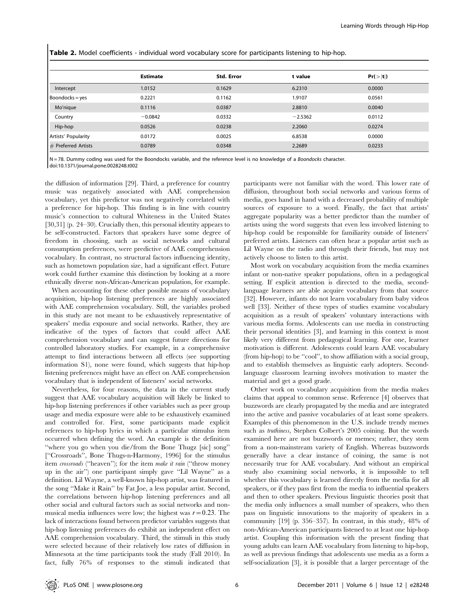Table 2. Model coefficients - individual word vocabulary score for participants listening to hip-hop.

|                       | <b>Estimate</b> | <b>Std. Error</b> | t value   | Pr(> t ) |
|-----------------------|-----------------|-------------------|-----------|----------|
| Intercept             | 1.0152          | 0.1629            | 6.2310    | 0.0000   |
| Boondocks = yes       | 0.2221          | 0.1162            | 1.9107    | 0.0561   |
| Mo'nique              | 0.1116          | 0.0387            | 2.8810    | 0.0040   |
| Country               | $-0.0842$       | 0.0332            | $-2.5362$ | 0.0112   |
| Hip-hop               | 0.0526          | 0.0238            | 2.2060    | 0.0274   |
| Artists' Popularity   | 0.0172          | 0.0025            | 6.8538    | 0.0000   |
| $#$ Preferred Artists | 0.0789          | 0.0348            | 2.2689    | 0.0233   |

 $N = 78$ . Dummy coding was used for the Boondocks variable, and the reference level is no knowledge of a Boondocks character. doi:10.1371/journal.pone.0028248.t002

the diffusion of information [29]. Third, a preference for country music was negatively associated with AAE comprehension vocabulary, yet this predictor was not negatively correlated with a preference for hip-hop. This finding is in line with country music's connection to cultural Whiteness in the United States [30,31] (p. 24–30). Crucially then, this personal identity appears to be self-constructed. Factors that speakers have some degree of freedom in choosing, such as social networks and cultural consumption preferences, were predictive of AAE comprehension vocabulary. In contrast, no structural factors influencing identity, such as hometown population size, had a significant effect. Future work could further examine this distinction by looking at a more ethnically diverse non-African-American population, for example.

When accounting for these other possible means of vocabulary acquisition, hip-hop listening preferences are highly associated with AAE comprehension vocabulary. Still, the variables probed in this study are not meant to be exhaustively representative of speakers' media exposure and social networks. Rather, they are indicative of the types of factors that could affect AAE comprehension vocabulary and can suggest future directions for controlled laboratory studies. For example, in a comprehensive attempt to find interactions between all effects (see supporting information S1), none were found, which suggests that hip-hop listening preferences might have an effect on AAE comprehension vocabulary that is independent of listeners' social networks.

Nevertheless, for four reasons, the data in the current study suggest that AAE vocabulary acquisition will likely be linked to hip-hop listening preferences if other variables such as peer group usage and media exposure were able to be exhaustively examined and controlled for. First, some participants made explicit references to hip-hop lyrics in which a particular stimulus item occurred when defining the word. An example is the definition ''where you go when you die/from the Bone Thugz [sic] song'' [''Crossroads'', Bone Thugs-n-Harmony, 1996] for the stimulus item crossroads ("heaven"); for the item make it rain ("throw money up in the air'') one participant simply gave ''Lil Wayne'' as a definition. Lil Wayne, a well-known hip-hop artist, was featured in the song ''Make it Rain'' by Fat Joe, a less popular artist. Second, the correlations between hip-hop listening preferences and all other social and cultural factors such as social networks and nonmusical media influences were low; the highest was  $r=0.23$ . The lack of interactions found between predictor variables suggests that hip-hop listening preferences do exhibit an independent effect on AAE comprehension vocabulary. Third, the stimuli in this study were selected because of their relatively low rates of diffusion in Minnesota at the time participants took the study (Fall 2010). In fact, fully 76% of responses to the stimuli indicated that

participants were not familiar with the word. This lower rate of diffusion, throughout both social networks and various forms of media, goes hand in hand with a decreased probability of multiple sources of exposure to a word. Finally, the fact that artists' aggregate popularity was a better predictor than the number of artists using the word suggests that even less involved listening to hip-hop could be responsible for familiarity outside of listeners' preferred artists. Listeners can often hear a popular artist such as Lil Wayne on the radio and through their friends, but may not actively choose to listen to this artist.

Most work on vocabulary acquisition from the media examines infant or non-native speaker populations, often in a pedagogical setting. If explicit attention is directed to the media, secondlanguage learners are able acquire vocabulary from that source [32]. However, infants do not learn vocabulary from baby videos well [33]. Neither of these types of studies examine vocabulary acquisition as a result of speakers' voluntary interactions with various media forms. Adolescents can use media in constructing their personal identities [3], and learning in this context is most likely very different from pedagogical learning. For one, learner motivation is different. Adolescents could learn AAE vocabulary (from hip-hop) to be ''cool'', to show affiliation with a social group, and to establish themselves as linguistic early adopters. Secondlanguage classroom learning involves motivation to master the material and get a good grade.

Other work on vocabulary acquisition from the media makes claims that appeal to common sense. Reference [4] observes that buzzwords are clearly propagated by the media and are integrated into the active and passive vocabularies of at least some speakers. Examples of this phenomenon in the U.S. include trendy memes such as truthiness, Stephen Colbert's 2005 coining. But the words examined here are not buzzwords or memes; rather, they stem from a non-mainstream variety of English. Whereas buzzwords generally have a clear instance of coining, the same is not necessarily true for AAE vocabulary. And without an empirical study also examining social networks, it is impossible to tell whether this vocabulary is learned directly from the media for all speakers, or if they pass first from the media to influential speakers and then to other speakers. Previous linguistic theories posit that the media only influences a small number of speakers, who then pass on linguistic innovations to the majority of speakers in a community [19] (p. 356–357). In contrast, in this study, 48% of non-African-American participants listened to at least one hip-hop artist. Coupling this information with the present finding that young adults can learn AAE vocabulary from listening to hip-hop, as well as previous findings that adolescents use media as a form a self-socialization [3], it is possible that a larger percentage of the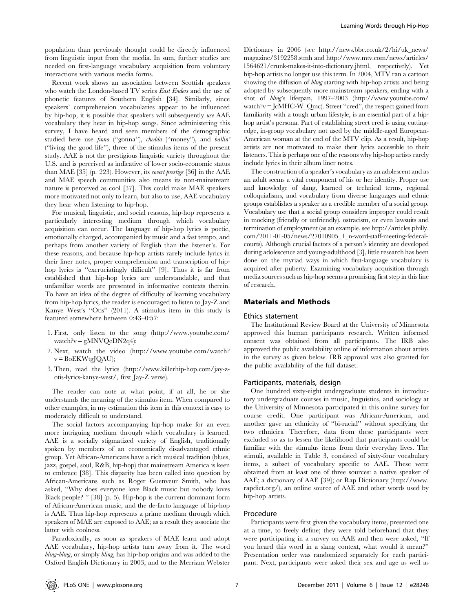population than previously thought could be directly influenced from linguistic input from the media. In sum, further studies are needed on first-language vocabulary acquisition from voluntary interactions with various media forms.

Recent work shows an association between Scottish speakers who watch the London-based TV series East Enders and the use of phonetic features of Southern English [34]. Similarly, since speakers' comprehension vocabularies appear to be influenced by hip-hop, it is possible that speakers will subsequently use AAE vocabulary they hear in hip-hop songs. Since administering this survey, I have heard and seen members of the demographic studied here use *finna* ("gonna"), *chedda* ("money"), and *ballin'* (''living the good life''), three of the stimulus items of the present study. AAE is not the prestigious linguistic variety throughout the U.S. and is perceived as indicative of lower socio-economic status than MAE [35] (p. 223). However, its covert prestige [36] in the AAE and MAE speech communities also means its non-mainstream nature is perceived as cool [37]. This could make MAE speakers more motivated not only to learn, but also to use, AAE vocabulary they hear when listening to hip-hop.

For musical, linguistic, and social reasons, hip-hop represents a particularly interesting medium through which vocabulary acquisition can occur. The language of hip-hop lyrics is poetic, emotionally charged, accompanied by music and a fast tempo, and perhaps from another variety of English than the listener's. For these reasons, and because hip-hop artists rarely include lyrics in their liner notes, proper comprehension and transcription of hiphop lyrics is ''excruciatingly difficult'' [9]. Thus it is far from established that hip-hop lyrics are understandable, and that unfamiliar words are presented in informative contexts therein. To have an idea of the degree of difficulty of learning vocabulary from hip-hop lyrics, the reader is encouraged to listen to Jay-Z and Kanye West's "Otis" (2011). A stimulus item in this study is featured somewhere between 0:43–0:57:

- 1. First, only listen to the song (http://www.youtube.com/ watch?v =  $gMNVQeDN2q4$ ;
- 2. Next, watch the video (http://www.youtube.com/watch?  $v = BoEKWtgJQAU;$
- 3. Then, read the lyrics (http://www.killerhip-hop.com/jay-zotis-lyrics-kanye-west/, first Jay-Z verse).

The reader can note at what point, if at all, he or she understands the meaning of the stimulus item. When compared to other examples, in my estimation this item in this context is easy to moderately difficult to understand.

The social factors accompanying hip-hop make for an even more intriguing medium through which vocabulary is learned. AAE is a socially stigmatized variety of English, traditionally spoken by members of an economically disadvantaged ethnic group. Yet African-Americans have a rich musical tradition (blues, jazz, gospel, soul, R&B, hip-hop) that mainstream America is keen to embrace [38]. This disparity has been called into question by African-Americans such as Roger Guenveur Smith, who has asked, ''Why does everyone love Black music but nobody loves Black people? '' [38] (p. 5). Hip-hop is the current dominant form of African-American music, and the de-facto language of hip-hop is AAE. Thus hip-hop represents a prime medium through which speakers of MAE are exposed to AAE; as a result they associate the latter with coolness.

Paradoxically, as soon as speakers of MAE learn and adopt AAE vocabulary, hip-hop artists turn away from it. The word bling-bling, or simply bling, has hip-hop origins and was added to the Oxford English Dictionary in 2003, and to the Merriam Webster

Dictionary in 2006 (see http://news.bbc.co.uk/2/hi/uk\_news/ magazine/3192258.stmh and http://www.mtv.com/news/articles/ 1564621/crunk-makes-it-into-dictionary.jhtml, respectively). Yet hip-hop artists no longer use this term. In 2004, MTV ran a cartoon showing the diffusion of bling starting with hip-hop artists and being adopted by subsequently more mainstream speakers, ending with a shot of bling's lifespan, 1997–2003 (http://www.youtube.com/ watch?v = JcMHC-W\_Qmc). Street ''cred'', the respect gained from familiarity with a tough urban lifestyle, is an essential part of a hiphop artist's persona. Part of establishing street cred is using cuttingedge, in-group vocabulary not used by the middle-aged European-American woman at the end of the MTV clip. As a result, hip-hop artists are not motivated to make their lyrics accessible to their listeners. This is perhaps one of the reasons why hip-hop artists rarely include lyrics in their album liner notes.

The construction of a speaker's vocabulary as an adolescent and as an adult seems a vital component of his or her identity. Proper use and knowledge of slang, learned or technical terms, regional colloquialisms, and vocabulary from diverse languages and ethnic groups establishes a speaker as a credible member of a social group. Vocabulary use that a social group considers improper could result in mocking (friendly or unfriendly), ostracism, or even lawsuits and termination of employment (as an example, see http://articles.philly. com/2011-01-05/news/27010905\_1\_n-word-staff-meeting-federalcourts). Although crucial factors of a person's identity are developed during adolescence and young-adulthood [3], little research has been done on the myriad ways in which first-language vocabulary is acquired after puberty. Examining vocabulary acquisition through media sources such as hip-hop seems a promising first step in this line of research.

#### Materials and Methods

## Ethics statement

The Institutional Review Board at the University of Minnesota approved this human participants research. Written informed consent was obtained from all participants. The IRB also approved the public availability online of information about artists in the survey as given below. IRB approval was also granted for the public availability of the full dataset.

### Participants, materials, design

One hundred sixty-eight undergraduate students in introductory undergraduate courses in music, linguistics, and sociology at the University of Minnesota participated in this online survey for course credit. One participant was African-American, and another gave an ethnicity of ''bi-racial'' without specifying the two ethnicies. Therefore, data from these participants were excluded so as to lessen the likelihood that participants could be familiar with the stimulus items from their everyday lives. The stimuli, available in Table 3, consisted of sixty-four vocabulary items, a subset of vocabulary specific to AAE. These were obtained from at least one of three sources: a native speaker of AAE; a dictionary of AAE [39]; or Rap Dictionary (http://www. rapdict.org/), an online source of AAE and other words used by hip-hop artists.

## Procedure

Participants were first given the vocabulary items, presented one at a time, to freely define; they were told beforehand that they were participating in a survey on AAE and then were asked, ''If you heard this word in a slang context, what would it mean?'' Presentation order was randomized separately for each participant. Next, participants were asked their sex and age as well as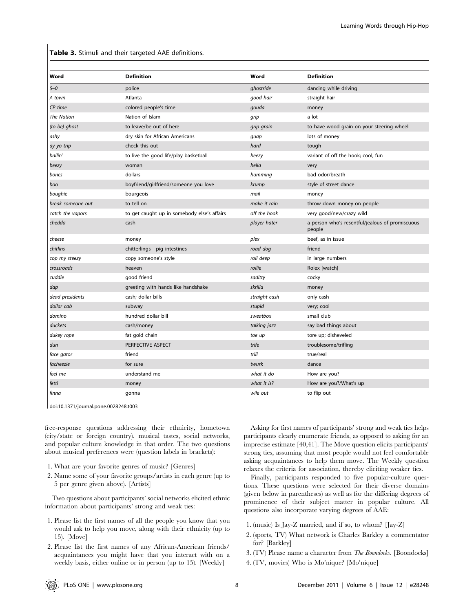Table 3. Stimuli and their targeted AAE definitions.

| Word              | <b>Definition</b>                           | Word          | <b>Definition</b>                                         |
|-------------------|---------------------------------------------|---------------|-----------------------------------------------------------|
| $5 - 0$           | police                                      | ghostride     | dancing while driving                                     |
| A-town            | Atlanta                                     | good hair     | straight hair                                             |
| CP time           | colored people's time                       | gouda         | money                                                     |
| The Nation        | Nation of Islam                             | grip          | a lot                                                     |
| (to be) ghost     | to leave/be out of here                     | grip grain    | to have wood grain on your steering wheel                 |
| ashy              | dry skin for African Americans              | guap          | lots of money                                             |
| ay yo trip        | check this out                              | hard          | tough                                                     |
| ballin'           | to live the good life/play basketball       | heezy         | variant of off the hook; cool, fun                        |
| beezy             | woman                                       | hella         | very                                                      |
| bones             | dollars                                     | humming       | bad odor/breath                                           |
| boo               | boyfriend/girlfriend/someone you love       | krump         | style of street dance                                     |
| boughie           | bourgeois                                   | mail          | money                                                     |
| break someone out | to tell on                                  | make it rain  | throw down money on people                                |
| catch the vapors  | to get caught up in somebody else's affairs | off the hook  | very good/new/crazy wild                                  |
| chedda            | cash                                        | player hater  | a person who's resentful/jealous of promiscuous<br>people |
| cheese            | money                                       | plex          | beef, as in issue                                         |
| chitlins          | chitterlings - pig intestines               | road dog      | friend                                                    |
| cop my steezy     | copy someone's style                        | roll deep     | in large numbers                                          |
| crossroads        | heaven                                      | rollie        | Rolex [watch]                                             |
| cuddie            | good friend                                 | saditty       | cocky                                                     |
| dap               | greeting with hands like handshake          | skrilla       | money                                                     |
| dead presidents   | cash; dollar bills                          | straight cash | only cash                                                 |
| dollar cab        | subway                                      | stupid        | very; cool                                                |
| domino            | hundred dollar bill                         | sweatbox      | small club                                                |
| duckets           | cash/money                                  | talking jazz  | say bad things about                                      |
| dukey rope        | fat gold chain                              | toe up        | tore up; disheveled                                       |
| dun               | PERFECTIVE ASPECT                           | trife         | troublesome/trifling                                      |
| face gator        | friend                                      | trill         | true/real                                                 |
| facheezie         | for sure                                    | twurk         | dance                                                     |
| feel me           | understand me                               | what it do    | How are you?                                              |
| fetti             | money                                       | what it is?   | How are you?/What's up                                    |
| finna             | gonna                                       | wile out      | to flip out                                               |

doi:10.1371/journal.pone.0028248.t003

free-response questions addressing their ethnicity, hometown (city/state or foreign country), musical tastes, social networks, and popular culture knowledge in that order. The two questions about musical preferences were (question labels in brackets):

- 1. What are your favorite genres of music? [Genres]
- 2. Name some of your favorite groups/artists in each genre (up to 5 per genre given above). [Artists]

Two questions about participants' social networks elicited ethnic information about participants' strong and weak ties:

- 1. Please list the first names of all the people you know that you would ask to help you move, along with their ethnicity (up to 15). [Move]
- 2. Please list the first names of any African-American friends/ acquaintances you might have that you interact with on a weekly basis, either online or in person (up to 15). [Weekly]

Asking for first names of participants' strong and weak ties helps participants clearly enumerate friends, as opposed to asking for an imprecise estimate [40,41]. The Move question elicits participants' strong ties, assuming that most people would not feel comfortable asking acquaintances to help them move. The Weekly question relaxes the criteria for association, thereby eliciting weaker ties.

Finally, participants responded to five popular-culture questions. These questions were selected for their diverse domains (given below in parentheses) as well as for the differing degrees of prominence of their subject matter in popular culture. All questions also incorporate varying degrees of AAE:

- 1. (music) Is Jay-Z married, and if so, to whom? [Jay-Z]
- 2. (sports, TV) What network is Charles Barkley a commentator for? [Barkley]
- 3. (TV) Please name a character from The Boondocks. [Boondocks]
- 4. (TV, movies) Who is Mo'nique? [Mo'nique]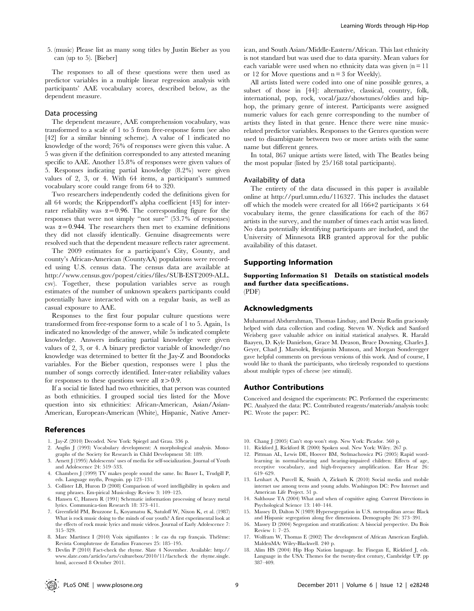5. (music) Please list as many song titles by Justin Bieber as you can (up to 5). [Bieber]

The responses to all of these questions were then used as predictor variables in a multiple linear regression analysis with participants' AAE vocabulary scores, described below, as the dependent measure.

#### Data processing

The dependent measure, AAE comprehension vocabulary, was transformed to a scale of 1 to 5 from free-response form (see also [42] for a similar binning scheme). A value of 1 indicated no knowledge of the word; 76% of responses were given this value. A 5 was given if the definition corresponded to any attested meaning specific to AAE. Another 15.8% of responses were given values of 5. Responses indicating partial knowledge (8.2%) were given values of 2, 3, or 4. With 64 items, a participant's summed vocabulary score could range from 64 to 320.

Two researchers independently coded the definitions given for all 64 words; the Krippendorff's alpha coefficient [43] for interrater reliability was  $\alpha$  = 0.96. The corresponding figure for the responses that were not simply ''not sure'' (53.7% of responses) was  $\alpha$  = 0.944. The researchers then met to examine definitions they did not classify identically. Genuine disagreements were resolved such that the dependent measure reflects rater agreement.

The 2009 estimates for a participant's City, County, and county's African-American (CountyAA) populations were recorded using U.S. census data. The census data are available at http://www.census.gov/popest/cities/files/SUB-EST2009-ALL. csv). Together, these population variables serve as rough estimates of the number of unknown speakers participants could potentially have interacted with on a regular basis, as well as casual exposure to AAE.

Responses to the first four popular culture questions were transformed from free-response form to a scale of 1 to 5. Again, 1s indicated no knowledge of the answer, while 5s indicated complete knowledge. Answers indicating partial knowledge were given values of 2, 3, or 4. A binary predictor variable of knowledge/no knowledge was determined to better fit the Jay-Z and Boondocks variables. For the Bieber question, responses were 1 plus the number of songs correctly identified. Inter-rater reliability values for responses to these questions were all  $\alpha > 0.9$ .

If a social tie listed had two ethnicities, that person was counted as both ethnicities. I grouped social ties listed for the Move question into six ethnicities: African-American, Asian/Asian-American, European-American (White), Hispanic, Native Amer-

## References

- 1. Jay-Z (2010) Decoded. New York: Spiegel and Grau. 336 p.
- 2. Anglin J (1993) Vocabulary development: A morphological analysis. Monographs of the Society for Research in Child Development 58: 189.
- Arnett J (1995) Adolescents' uses of media for self-socialization. Journal of Youth and Adolescence 24: 519–533.
- 4. Chambers J (1999) TV makes people sound the same. In: Bauer L, Trudgill P, eds. Language myths, Penguin. pp 123–131.
- 5. Collister LB, Huron D (2008) Comparison of word intelligibility in spoken and sung phrases. Em-pirical Musicology Review 3: 109–125.
- 6. Hansen C, Hansen R (1991) Schematic information processing of heavy metal lyrics. Communica-tion Research 18: 373–411.
- 7. Greenfield PM, Bruzzone L, Koyamatsu K, Satuloff W, Nixon K, et al. (1987) What is rock music doing to the minds of our youth? A first experimental look at the effects of rock music lyrics and music videos. Journal of Early Adolescence 7: 315–329.
- 8. Marc Martínez I (2010) Voix signifiantes : le cas du rap français. Thélème: Revista Complutense de Estudios Franceses 25: 185–195.
- 9. Devlin P (2010) Fact-check the rhyme. Slate 4 November. Available: http:// www.slate.com/articles/arts/culturebox/2010/11/factcheck the rhyme.single. html, accessed 8 October 2011.

ican, and South Asian/Middle-Eastern/African. This last ethnicity is not standard but was used due to data sparsity. Mean values for each variable were used when no ethnicity data was given  $(n = 11)$ or 12 for Move questions and  $n = 3$  for Weekly).

All artists listed were coded into one of nine possible genres, a subset of those in [44]: alternative, classical, country, folk, international, pop, rock, vocal/jazz/showtunes/oldies and hiphop, the primary genre of interest. Participants were assigned numeric values for each genre corresponding to the number of artists they listed in that genre. Hence there were nine musicrelated predictor variables. Responses to the Genres question were used to disambiguate between two or more artists with the same name but different genres.

In total, 867 unique artists were listed, with The Beatles being the most popular (listed by 25/168 total participants).

#### Availability of data

The entirety of the data discussed in this paper is available online at http://purl.umn.edu/116327. This includes the dataset off which the models were created for all 166+2 participants  $\times$  64 vocabulary items, the genre classifications for each of the 867 artists in the survey, and the number of times each artist was listed. No data potentially identifying participants are included, and the University of Minnesota IRB granted approval for the public availability of this dataset.

#### Supporting Information

Supporting Information S1 Details on statistical models and further data specifications. (PDF)

#### Acknowledgments

Muhammad Abdurrahman, Thomas Lindsay, and Deniz Rudin graciously helped with data collection and coding. Steven W. Nydick and Sanford Weisberg gave valuable advice on initial statistical analyses. R. Harald Baayen, D. Kyle Danielson, Grace M. Deason, Bruce Downing, Charles J. Geyer, Chad J. Marsolek, Benjamin Munson, and Morgan Sonderegger gave helpful comments on previous versions of this work. And of course, I would like to thank the participants, who tirelessly responded to questions about multiple types of cheese (see stimuli).

#### Author Contributions

Conceived and designed the experiments: PC. Performed the experiments: PC. Analyzed the data: PC. Contributed reagents/materials/analysis tools: PC. Wrote the paper: PC.

- 10. Chang J (2005) Can't stop won't stop. New York: Picador. 560 p.
- Rickford J, Rickford R (2000) Spoken soul. New York: Wiley. 267 p.
- 12. Pittman AL, Lewis DE, Hoover BM, Stelmachowicz PG (2005) Rapid wordlearning in normal-hearing and hearing-impaired children: Effects of age, receptive vocabulary, and high-frequency amplification. Ear Hear 26: 619–629.
- 13. Lenhart A, Purcell K, Smith A, Zickurh K (2010) Social media and mobile internet use among teens and young adults. Washington DC: Pew Internet and American Life Project. 51 p.
- 14. Salthouse TA (2004) What and when of cognitive aging. Current Directions in Psychological Science 13: 140–144.
- 15. Massey D, Dalton N (1989) Hypersegregation in U.S. metropolitan areas: Black and Hispanic segregation along five dimensions. Demography 26: 373–391.
- 16. Massey D (2004) Segregation and stratification: A bisocial perspective. Du Bois Review 1: 7–25.
- 17. Wolfram W, Thomas E (2002) The development of African American English. MaldenMA: Wiley-Blackwell. 240 p.
- 18. Alim HS (2004) Hip Hop Nation language. In: Finegan E, Rickford J, eds. Language in the USA: Themes for the twenty-first century, Cambridge UP. pp 387–409.